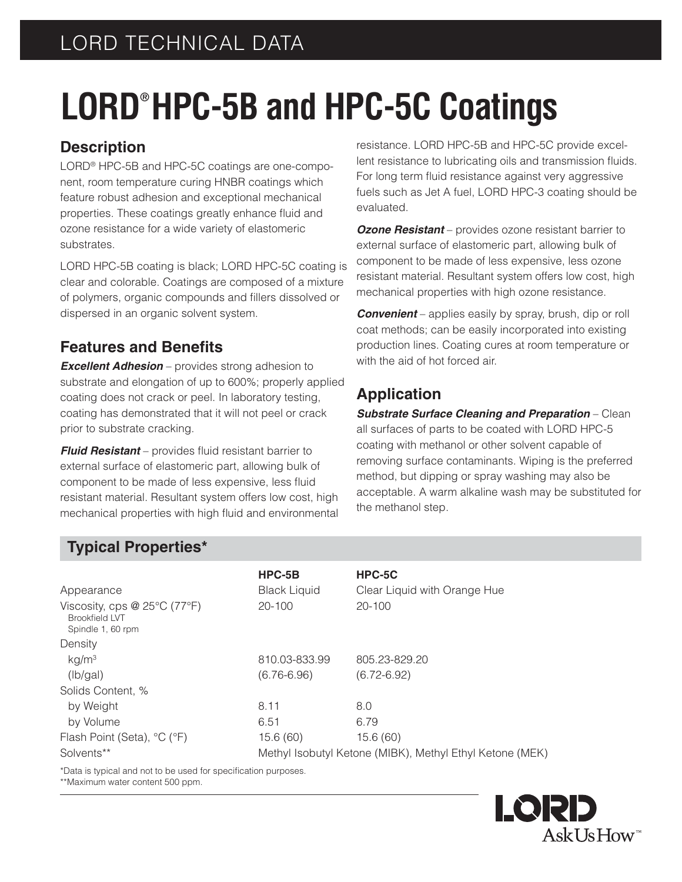# LORD TECHNICAL DATA

# **LORD® HPC-5B and HPC-5C Coatings**

### **Description**

LORD® HPC-5B and HPC-5C coatings are one-component, room temperature curing HNBR coatings which feature robust adhesion and exceptional mechanical properties. These coatings greatly enhance fluid and ozone resistance for a wide variety of elastomeric substrates.

LORD HPC-5B coating is black; LORD HPC-5C coating is clear and colorable. Coatings are composed of a mixture of polymers, organic compounds and fillers dissolved or dispersed in an organic solvent system.

### **Features and Benefits**

*Excellent Adhesion* – provides strong adhesion to substrate and elongation of up to 600%; properly applied coating does not crack or peel. In laboratory testing, coating has demonstrated that it will not peel or crack prior to substrate cracking.

**Fluid Resistant** – provides fluid resistant barrier to external surface of elastomeric part, allowing bulk of component to be made of less expensive, less fluid resistant material. Resultant system offers low cost, high mechanical properties with high fluid and environmental

resistance. LORD HPC-5B and HPC-5C provide excellent resistance to lubricating oils and transmission fluids. For long term fluid resistance against very aggressive fuels such as Jet A fuel, LORD HPC-3 coating should be evaluated.

*Ozone Resistant* – provides ozone resistant barrier to external surface of elastomeric part, allowing bulk of component to be made of less expensive, less ozone resistant material. Resultant system offers low cost, high mechanical properties with high ozone resistance.

*Convenient* – applies easily by spray, brush, dip or roll coat methods; can be easily incorporated into existing production lines. Coating cures at room temperature or with the aid of hot forced air.

### **Application**

*Substrate Surface Cleaning and Preparation* – Clean all surfaces of parts to be coated with LORD HPC-5 coating with methanol or other solvent capable of removing surface contaminants. Wiping is the preferred method, but dipping or spray washing may also be acceptable. A warm alkaline wash may be substituted for the methanol step.

### **Typical Properties\***

| Appearance                                                                          | HPC-5B<br><b>Black Liquid</b>                            | HPC-5C<br>Clear Liquid with Orange Hue |
|-------------------------------------------------------------------------------------|----------------------------------------------------------|----------------------------------------|
| Viscosity, cps $@$ 25 $°C$ (77 $°F$ )<br><b>Brookfield LVT</b><br>Spindle 1, 60 rpm | $20 - 100$                                               | 20-100                                 |
| Density                                                                             |                                                          |                                        |
| kg/m <sup>3</sup>                                                                   | 810.03-833.99                                            | 805.23-829.20                          |
| (lb/gal)                                                                            | $(6.76 - 6.96)$                                          | $(6.72 - 6.92)$                        |
| Solids Content, %                                                                   |                                                          |                                        |
| by Weight                                                                           | 8.11                                                     | 8.0                                    |
| by Volume                                                                           | 6.51                                                     | 6.79                                   |
| Flash Point (Seta), °C (°F)                                                         | 15.6(60)                                                 | 15.6(60)                               |
| Solvents**                                                                          | Methyl Isobutyl Ketone (MIBK), Methyl Ethyl Ketone (MEK) |                                        |

\*Data is typical and not to be used for specification purposes.

\*\*Maximum water content 500 ppm.

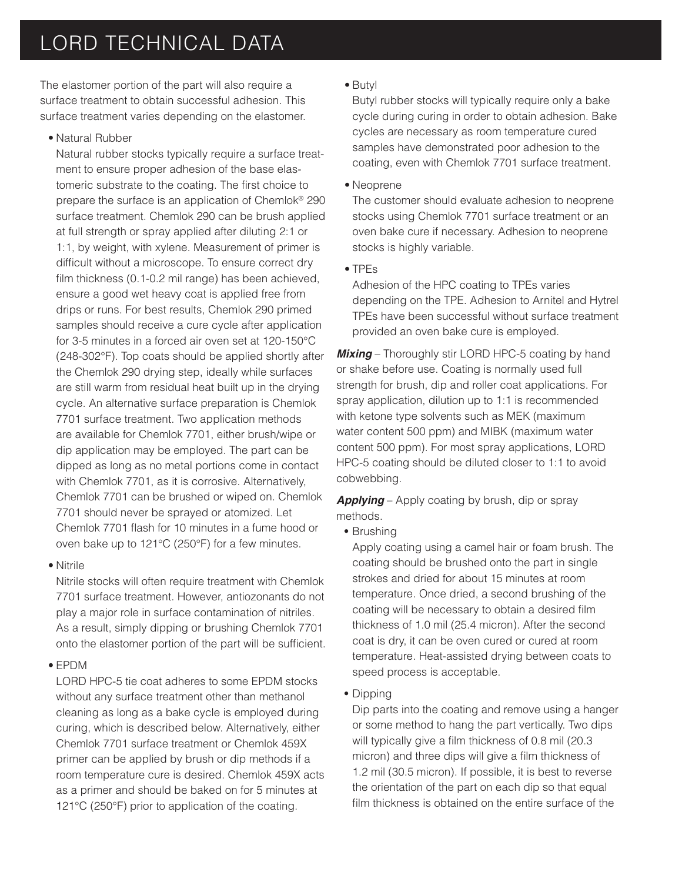## LORD TECHNICAL DATA

The elastomer portion of the part will also require a surface treatment to obtain successful adhesion. This surface treatment varies depending on the elastomer.

• Natural Rubber

 Natural rubber stocks typically require a surface treatment to ensure proper adhesion of the base elastomeric substrate to the coating. The first choice to prepare the surface is an application of Chemlok® 290 surface treatment. Chemlok 290 can be brush applied at full strength or spray applied after diluting 2:1 or 1:1, by weight, with xylene. Measurement of primer is difficult without a microscope. To ensure correct dry film thickness  $(0.1$ -0.2 mil range) has been achieved, ensure a good wet heavy coat is applied free from drips or runs. For best results, Chemlok 290 primed samples should receive a cure cycle after application for 3-5 minutes in a forced air oven set at 120-150°C (248-302°F). Top coats should be applied shortly after the Chemlok 290 drying step, ideally while surfaces are still warm from residual heat built up in the drying cycle. An alternative surface preparation is Chemlok 7701 surface treatment. Two application methods are available for Chemlok 7701, either brush/wipe or dip application may be employed. The part can be dipped as long as no metal portions come in contact with Chemlok 7701, as it is corrosive. Alternatively, Chemlok 7701 can be brushed or wiped on. Chemlok 7701 should never be sprayed or atomized. Let Chemlok 7701 flash for 10 minutes in a fume hood or oven bake up to 121°C (250°F) for a few minutes.

• Nitrile

 Nitrile stocks will often require treatment with Chemlok 7701 surface treatment. However, antiozonants do not play a major role in surface contamination of nitriles. As a result, simply dipping or brushing Chemlok 7701 onto the elastomer portion of the part will be sufficient.

• EPDM

 LORD HPC-5 tie coat adheres to some EPDM stocks without any surface treatment other than methanol cleaning as long as a bake cycle is employed during curing, which is described below. Alternatively, either Chemlok 7701 surface treatment or Chemlok 459X primer can be applied by brush or dip methods if a room temperature cure is desired. Chemlok 459X acts as a primer and should be baked on for 5 minutes at 121°C (250°F) prior to application of the coating.

• Butyl

 Butyl rubber stocks will typically require only a bake cycle during curing in order to obtain adhesion. Bake cycles are necessary as room temperature cured samples have demonstrated poor adhesion to the coating, even with Chemlok 7701 surface treatment.

• Neoprene

 The customer should evaluate adhesion to neoprene stocks using Chemlok 7701 surface treatment or an oven bake cure if necessary. Adhesion to neoprene stocks is highly variable.

• TPEs

 Adhesion of the HPC coating to TPEs varies depending on the TPE. Adhesion to Arnitel and Hytrel TPEs have been successful without surface treatment provided an oven bake cure is employed.

**Mixing** – Thoroughly stir LORD HPC-5 coating by hand or shake before use. Coating is normally used full strength for brush, dip and roller coat applications. For spray application, dilution up to 1:1 is recommended with ketone type solvents such as MEK (maximum water content 500 ppm) and MIBK (maximum water content 500 ppm). For most spray applications, LORD HPC-5 coating should be diluted closer to 1:1 to avoid cobwebbing.

*Applying* – Apply coating by brush, dip or spray methods.

**•** Brushing

Apply coating using a camel hair or foam brush. The coating should be brushed onto the part in single strokes and dried for about 15 minutes at room temperature. Once dried, a second brushing of the coating will be necessary to obtain a desired film thickness of 1.0 mil (25.4 micron). After the second coat is dry, it can be oven cured or cured at room temperature. Heat-assisted drying between coats to speed process is acceptable.

**•** Dipping

 Dip parts into the coating and remove using a hanger or some method to hang the part vertically. Two dips will typically give a film thickness of 0.8 mil (20.3) micron) and three dips will give a film thickness of 1.2 mil (30.5 micron). If possible, it is best to reverse the orientation of the part on each dip so that equal film thickness is obtained on the entire surface of the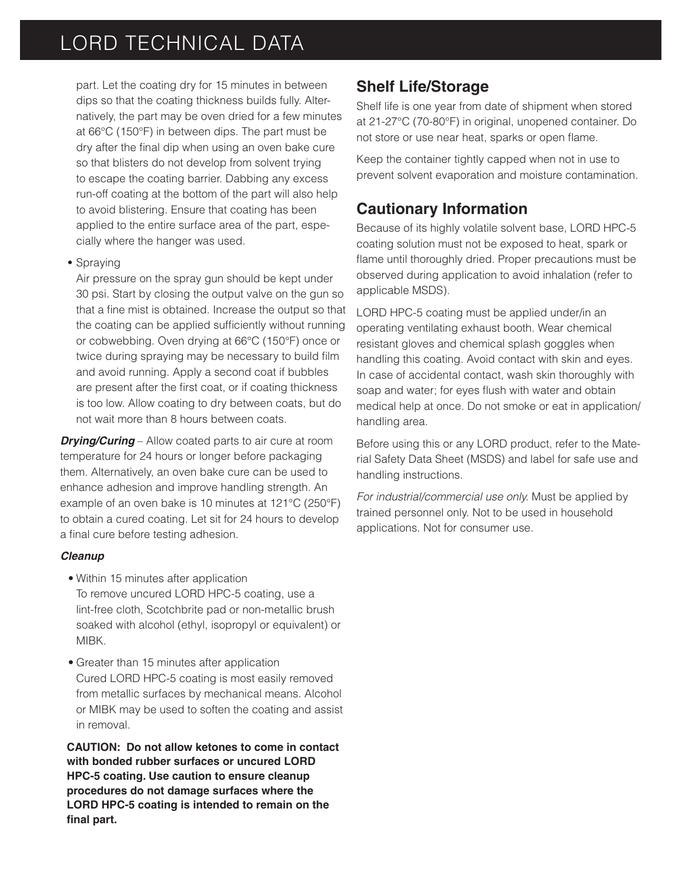## LORD TECHNICAL DATA

part. Let the coating dry for 15 minutes in between dips so that the coating thickness builds fully. Alternatively, the part may be oven dried for a few minutes at 66°C (150°F) in between dips. The part must be dry after the final dip when using an oven bake cure so that blisters do not develop from solvent trying to escape the coating barrier. Dabbing any excess run-off coating at the bottom of the part will also help to avoid blistering. Ensure that coating has been applied to the entire surface area of the part, especially where the hanger was used.

#### **•** Spraying

Air pressure on the spray gun should be kept under 30 psi. Start by closing the output valve on the gun so that a fine mist is obtained. Increase the output so that the coating can be applied sufficiently without running or cobwebbing. Oven drying at 66°C (150°F) once or twice during spraying may be necessary to build film and avoid running. Apply a second coat if bubbles are present after the first coat, or if coating thickness is too low. Allow coating to dry between coats, but do not wait more than 8 hours between coats.

**Drying/Curing** – Allow coated parts to air cure at room temperature for 24 hours or longer before packaging them. Alternatively, an oven bake cure can be used to enhance adhesion and improve handling strength. An example of an oven bake is 10 minutes at 121°C (250°F) to obtain a cured coating. Let sit for 24 hours to develop a final cure before testing adhesion.

#### *Cleanup*

- Within 15 minutes after application To remove uncured LORD HPC-5 coating, use a lint-free cloth, Scotchbrite pad or non-metallic brush soaked with alcohol (ethyl, isopropyl or equivalent) or MIBK.
- Greater than 15 minutes after application Cured LORD HPC-5 coating is most easily removed from metallic surfaces by mechanical means. Alcohol or MIBK may be used to soften the coating and assist in removal.

 **CAUTION: Do not allow ketones to come in contact with bonded rubber surfaces or uncured LORD HPC-5 coating. Use caution to ensure cleanup procedures do not damage surfaces where the LORD HPC-5 coating is intended to remain on the**  final part.

### **Shelf Life/Storage**

Shelf life is one year from date of shipment when stored at 21-27°C (70-80°F) in original, unopened container. Do not store or use near heat, sparks or open flame.

Keep the container tightly capped when not in use to prevent solvent evaporation and moisture contamination.

### **Cautionary Information**

Because of its highly volatile solvent base, LORD HPC-5 coating solution must not be exposed to heat, spark or flame until thoroughly dried. Proper precautions must be observed during application to avoid inhalation (refer to applicable MSDS).

LORD HPC-5 coating must be applied under/in an operating ventilating exhaust booth. Wear chemical resistant gloves and chemical splash goggles when handling this coating. Avoid contact with skin and eyes. In case of accidental contact, wash skin thoroughly with soap and water; for eyes flush with water and obtain medical help at once. Do not smoke or eat in application/ handling area.

Before using this or any LORD product, refer to the Material Safety Data Sheet (MSDS) and label for safe use and handling instructions.

*For industrial/commercial use only.* Must be applied by trained personnel only. Not to be used in household applications. Not for consumer use.